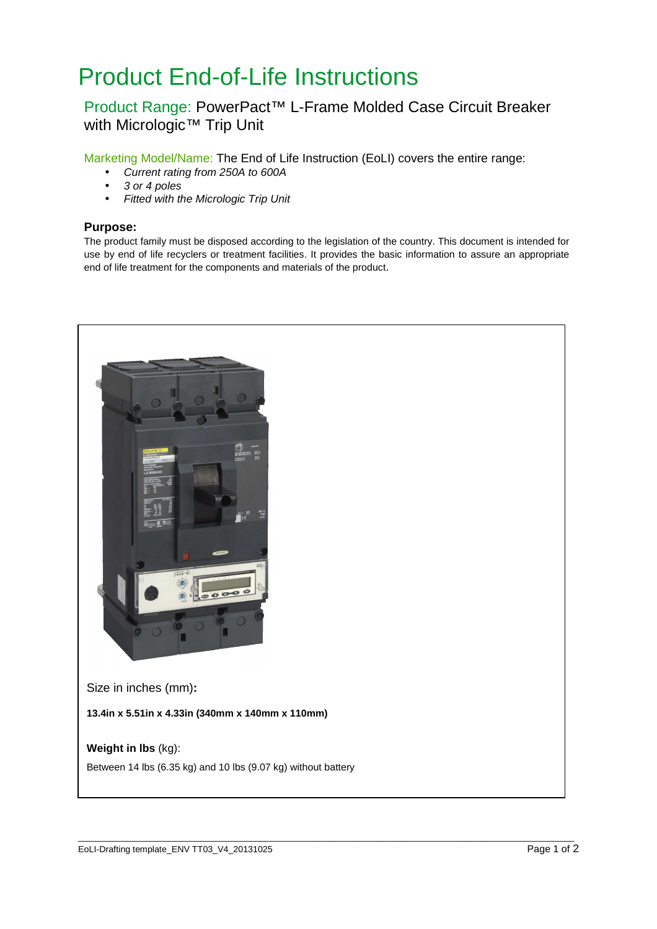# Product End-of-Life Instructions

# Product Range: PowerPact™ L-Frame Molded Case Circuit Breaker with Micrologic™ Trip Unit

Marketing Model/Name: The End of Life Instruction (EoLI) covers the entire range:

- Current rating from 250A to 600A
- 3 or 4 poles
- Fitted with the Micrologic Trip Unit

### **Purpose:**

The product family must be disposed according to the legislation of the country. This document is intended for use by end of life recyclers or treatment facilities. It provides the basic information to assure an appropriate end of life treatment for the components and materials of the product.